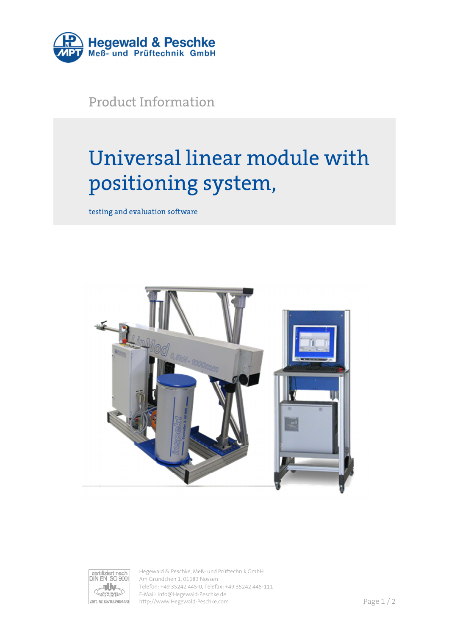

Product Information

## Universal linear module with positioning system,

testing and evaluation software





Hegewald & Peschke, Meß- und Prüftechnik GmbH Am Gründchen 1, 01683 Nossen Telefon: +49 35242 445-0, Telefax: +49 35242 445-111 E-Mail: info@Hegewald-Peschke.de http://www.Hegewald-Peschke.com **Page 1/2**